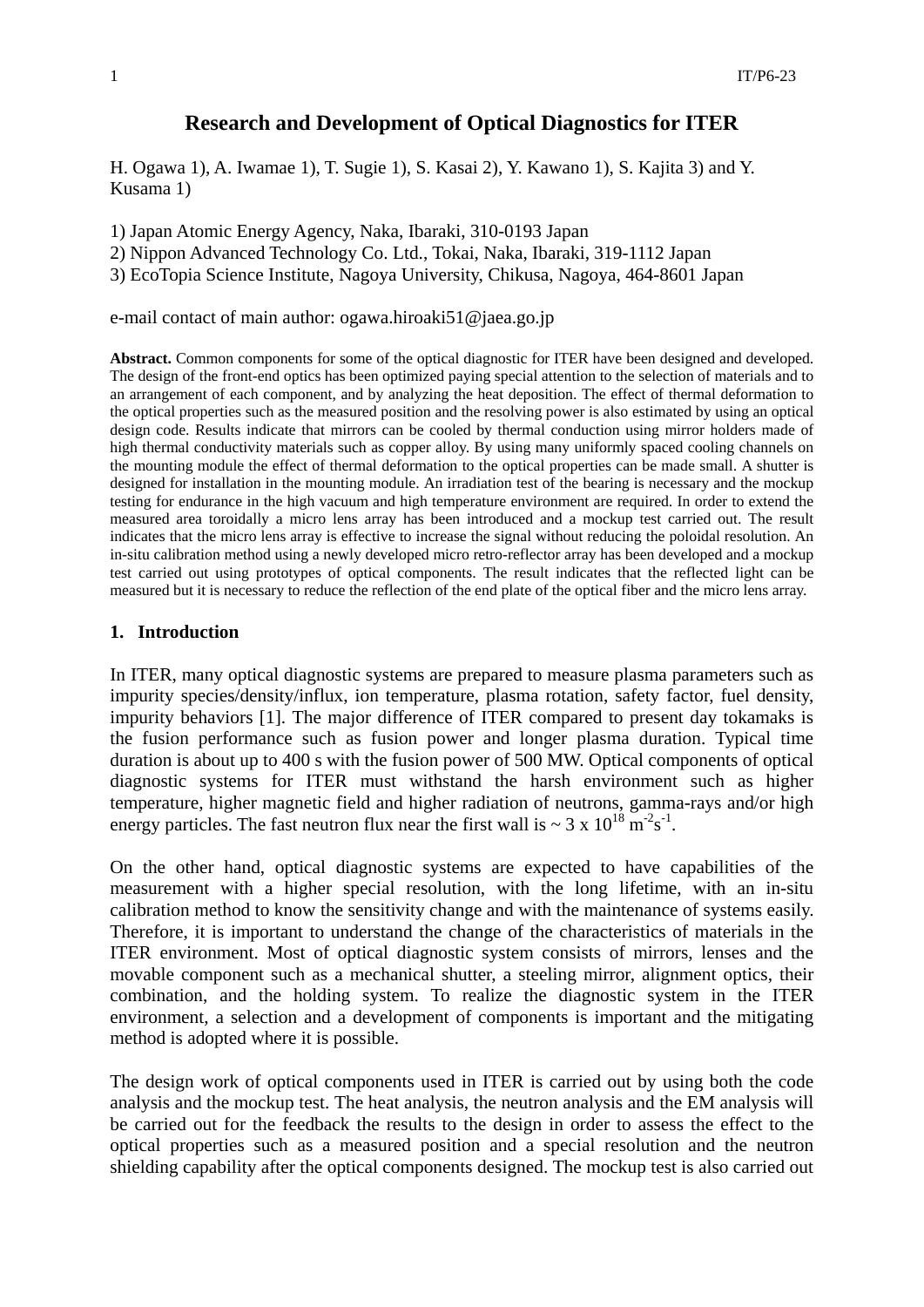# **Research and Development of Optical Diagnostics for ITER**

H. Ogawa 1), A. Iwamae 1), T. Sugie 1), S. Kasai 2), Y. Kawano 1), S. Kajita 3) and Y. Kusama 1)

1) Japan Atomic Energy Agency, Naka, Ibaraki, 310-0193 Japan

2) Nippon Advanced Technology Co. Ltd., Tokai, Naka, Ibaraki, 319-1112 Japan

3) EcoTopia Science Institute, Nagoya University, Chikusa, Nagoya, 464-8601 Japan

e-mail contact of main author: ogawa.hiroaki51@jaea.go.jp

**Abstract.** Common components for some of the optical diagnostic for ITER have been designed and developed. The design of the front-end optics has been optimized paying special attention to the selection of materials and to an arrangement of each component, and by analyzing the heat deposition. The effect of thermal deformation to the optical properties such as the measured position and the resolving power is also estimated by using an optical design code. Results indicate that mirrors can be cooled by thermal conduction using mirror holders made of high thermal conductivity materials such as copper alloy. By using many uniformly spaced cooling channels on the mounting module the effect of thermal deformation to the optical properties can be made small. A shutter is designed for installation in the mounting module. An irradiation test of the bearing is necessary and the mockup testing for endurance in the high vacuum and high temperature environment are required. In order to extend the measured area toroidally a micro lens array has been introduced and a mockup test carried out. The result indicates that the micro lens array is effective to increase the signal without reducing the poloidal resolution. An in-situ calibration method using a newly developed micro retro-reflector array has been developed and a mockup test carried out using prototypes of optical components. The result indicates that the reflected light can be measured but it is necessary to reduce the reflection of the end plate of the optical fiber and the micro lens array.

#### **1. Introduction**

In ITER, many optical diagnostic systems are prepared to measure plasma parameters such as impurity species/density/influx, ion temperature, plasma rotation, safety factor, fuel density, impurity behaviors [1]. The major difference of ITER compared to present day tokamaks is the fusion performance such as fusion power and longer plasma duration. Typical time duration is about up to 400 s with the fusion power of 500 MW. Optical components of optical diagnostic systems for ITER must withstand the harsh environment such as higher temperature, higher magnetic field and higher radiation of neutrons, gamma-rays and/or high energy particles. The fast neutron flux near the first wall is  $\sim 3 \times 10^{18} \text{ m}^2 \text{s}^{-1}$ .

On the other hand, optical diagnostic systems are expected to have capabilities of the measurement with a higher special resolution, with the long lifetime, with an in-situ calibration method to know the sensitivity change and with the maintenance of systems easily. Therefore, it is important to understand the change of the characteristics of materials in the ITER environment. Most of optical diagnostic system consists of mirrors, lenses and the movable component such as a mechanical shutter, a steeling mirror, alignment optics, their combination, and the holding system. To realize the diagnostic system in the ITER environment, a selection and a development of components is important and the mitigating method is adopted where it is possible.

The design work of optical components used in ITER is carried out by using both the code analysis and the mockup test. The heat analysis, the neutron analysis and the EM analysis will be carried out for the feedback the results to the design in order to assess the effect to the optical properties such as a measured position and a special resolution and the neutron shielding capability after the optical components designed. The mockup test is also carried out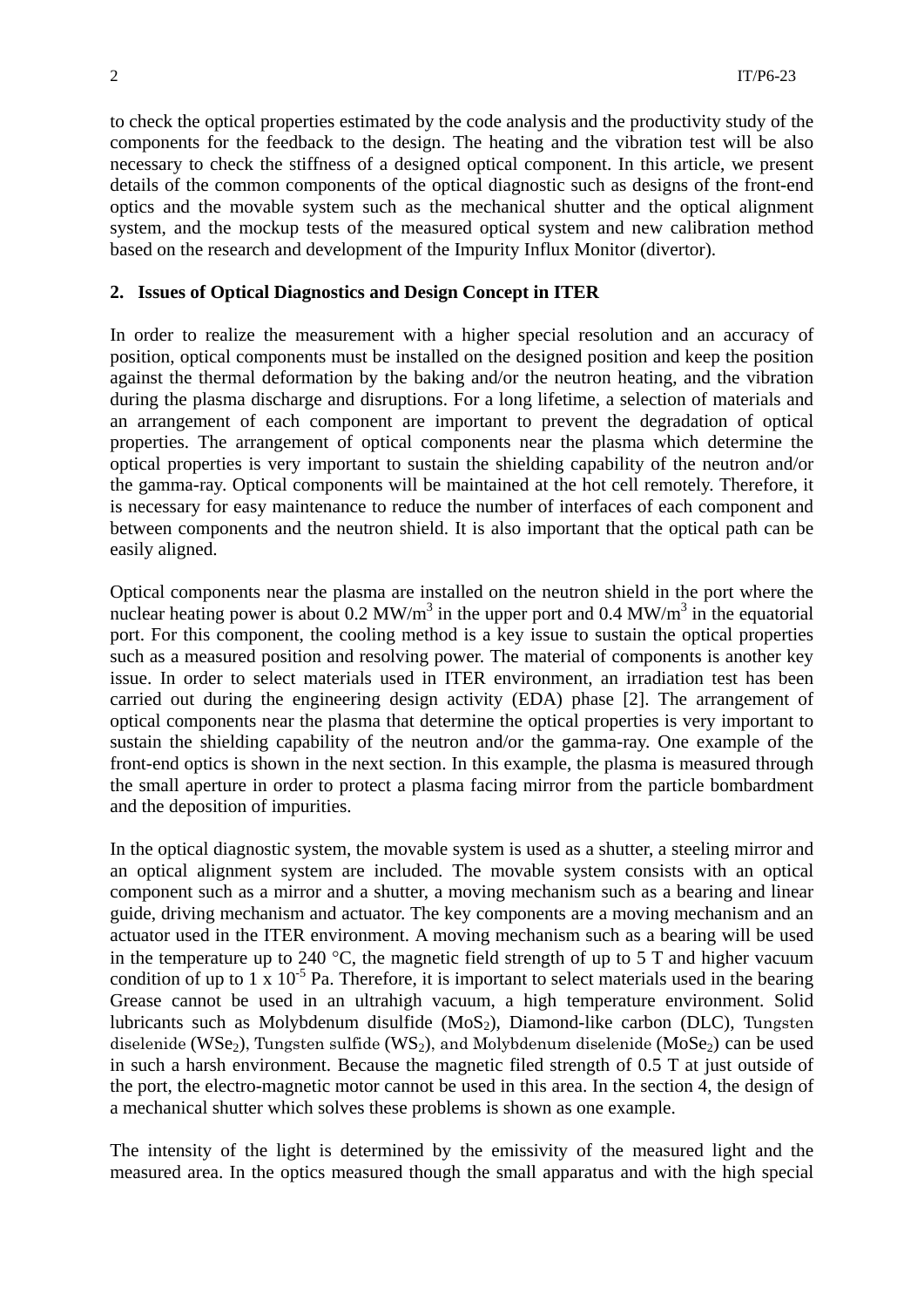to check the optical properties estimated by the code analysis and the productivity study of the components for the feedback to the design. The heating and the vibration test will be also necessary to check the stiffness of a designed optical component. In this article, we present details of the common components of the optical diagnostic such as designs of the front-end optics and the movable system such as the mechanical shutter and the optical alignment system, and the mockup tests of the measured optical system and new calibration method based on the research and development of the Impurity Influx Monitor (divertor).

# **2. Issues of Optical Diagnostics and Design Concept in ITER**

In order to realize the measurement with a higher special resolution and an accuracy of position, optical components must be installed on the designed position and keep the position against the thermal deformation by the baking and/or the neutron heating, and the vibration during the plasma discharge and disruptions. For a long lifetime, a selection of materials and an arrangement of each component are important to prevent the degradation of optical properties. The arrangement of optical components near the plasma which determine the optical properties is very important to sustain the shielding capability of the neutron and/or the gamma-ray. Optical components will be maintained at the hot cell remotely. Therefore, it is necessary for easy maintenance to reduce the number of interfaces of each component and between components and the neutron shield. It is also important that the optical path can be easily aligned.

Optical components near the plasma are installed on the neutron shield in the port where the nuclear heating power is about  $0.2 \text{ MW/m}^3$  in the upper port and  $0.4 \text{ MW/m}^3$  in the equatorial port. For this component, the cooling method is a key issue to sustain the optical properties such as a measured position and resolving power. The material of components is another key issue. In order to select materials used in ITER environment, an irradiation test has been carried out during the engineering design activity (EDA) phase [2]. The arrangement of optical components near the plasma that determine the optical properties is very important to sustain the shielding capability of the neutron and/or the gamma-ray. One example of the front-end optics is shown in the next section. In this example, the plasma is measured through the small aperture in order to protect a plasma facing mirror from the particle bombardment and the deposition of impurities.

In the optical diagnostic system, the movable system is used as a shutter, a steeling mirror and an optical alignment system are included. The movable system consists with an optical component such as a mirror and a shutter, a moving mechanism such as a bearing and linear guide, driving mechanism and actuator. The key components are a moving mechanism and an actuator used in the ITER environment. A moving mechanism such as a bearing will be used in the temperature up to 240  $\degree$ C, the magnetic field strength of up to 5 T and higher vacuum condition of up to  $1 \times 10^{-5}$  Pa. Therefore, it is important to select materials used in the bearing Grease cannot be used in an ultrahigh vacuum, a high temperature environment. Solid lubricants such as Molybdenum disulfide  $(MoS<sub>2</sub>)$ , Diamond-like carbon (DLC), Tungsten diselenide (WSe<sub>2</sub>), Tungsten sulfide (WS<sub>2</sub>), and Molybdenum diselenide (MoSe<sub>2</sub>) can be used in such a harsh environment. Because the magnetic filed strength of 0.5 T at just outside of the port, the electro-magnetic motor cannot be used in this area. In the section 4, the design of a mechanical shutter which solves these problems is shown as one example.

The intensity of the light is determined by the emissivity of the measured light and the measured area. In the optics measured though the small apparatus and with the high special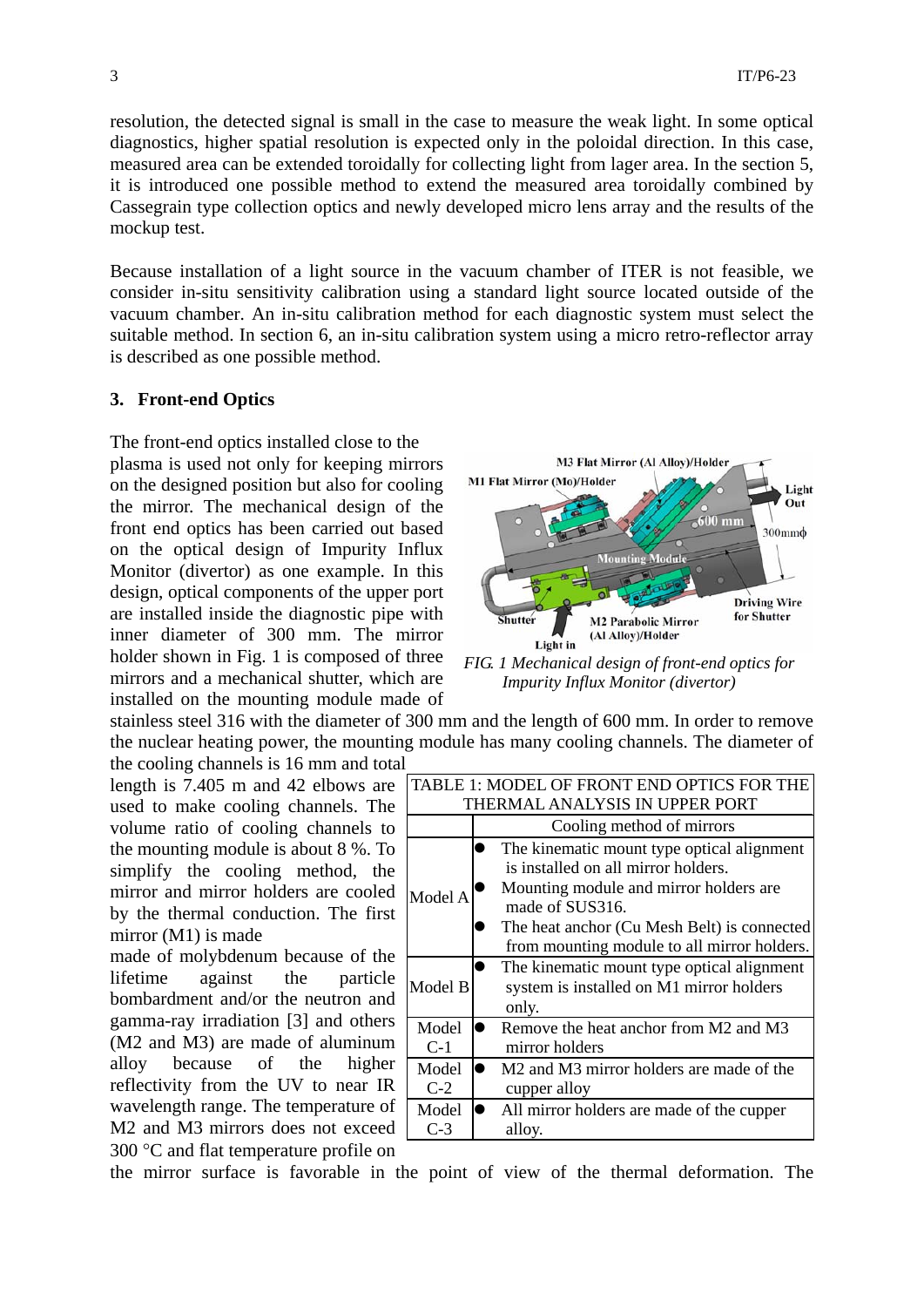resolution, the detected signal is small in the case to measure the weak light. In some optical diagnostics, higher spatial resolution is expected only in the poloidal direction. In this case, measured area can be extended toroidally for collecting light from lager area. In the section 5, it is introduced one possible method to extend the measured area toroidally combined by Cassegrain type collection optics and newly developed micro lens array and the results of the mockup test.

Because installation of a light source in the vacuum chamber of ITER is not feasible, we consider in-situ sensitivity calibration using a standard light source located outside of the vacuum chamber. An in-situ calibration method for each diagnostic system must select the suitable method. In section 6, an in-situ calibration system using a micro retro-reflector array is described as one possible method.

### **3. Front-end Optics**

The front-end optics installed close to the

plasma is used not only for keeping mirrors on the designed position but also for cooling the mirror. The mechanical design of the front end optics has been carried out based on the optical design of Impurity Influx Monitor (divertor) as one example. In this design, optical components of the upper port are installed inside the diagnostic pipe with inner diameter of 300 mm. The mirror holder shown in Fig. 1 is composed of three mirrors and a mechanical shutter, which are installed on the mounting module made of



*FIG. 1 Mechanical design of front-end optics for Impurity Influx Monitor (divertor)* 

stainless steel 316 with the diameter of 300 mm and the length of 600 mm. In order to remove the nuclear heating power, the mounting module has many cooling channels. The diameter of the cooling channels is 16 mm and total

length is 7.405 m and 42 elbows are used to make cooling channels. The volume ratio of cooling channels to the mounting module is about 8 %. To simplify the cooling method, the mirror and mirror holders are cooled by the thermal conduction. The first mirror (M1) is made

made of molybdenum because of the lifetime against the particle bombardment and/or the neutron and gamma-ray irradiation [3] and others (M2 and M3) are made of aluminum alloy because of the higher reflectivity from the UV to near IR wavelength range. The temperature of M2 and M3 mirrors does not exceed 300 °C and flat temperature profile on

| TABLE 1: MODEL OF FRONT END OPTICS FOR THE |                                                                                                                                                                                                                                              |
|--------------------------------------------|----------------------------------------------------------------------------------------------------------------------------------------------------------------------------------------------------------------------------------------------|
| THERMAL ANALYSIS IN UPPER PORT             |                                                                                                                                                                                                                                              |
|                                            | Cooling method of mirrors                                                                                                                                                                                                                    |
| Model A                                    | The kinematic mount type optical alignment<br>is installed on all mirror holders.<br>Mounting module and mirror holders are<br>made of SUS316.<br>The heat anchor (Cu Mesh Belt) is connected<br>from mounting module to all mirror holders. |
| Model B                                    | The kinematic mount type optical alignment<br>system is installed on M1 mirror holders<br>only.                                                                                                                                              |
| Model<br>$C-1$                             | Remove the heat anchor from M2 and M3<br>mirror holders                                                                                                                                                                                      |
| Model<br>$C-2$                             | M <sub>2</sub> and M <sub>3</sub> mirror holders are made of the<br>cupper alloy                                                                                                                                                             |
| Model<br>$C-3$                             | All mirror holders are made of the cupper<br>alloy.                                                                                                                                                                                          |

the mirror surface is favorable in the point of view of the thermal deformation. The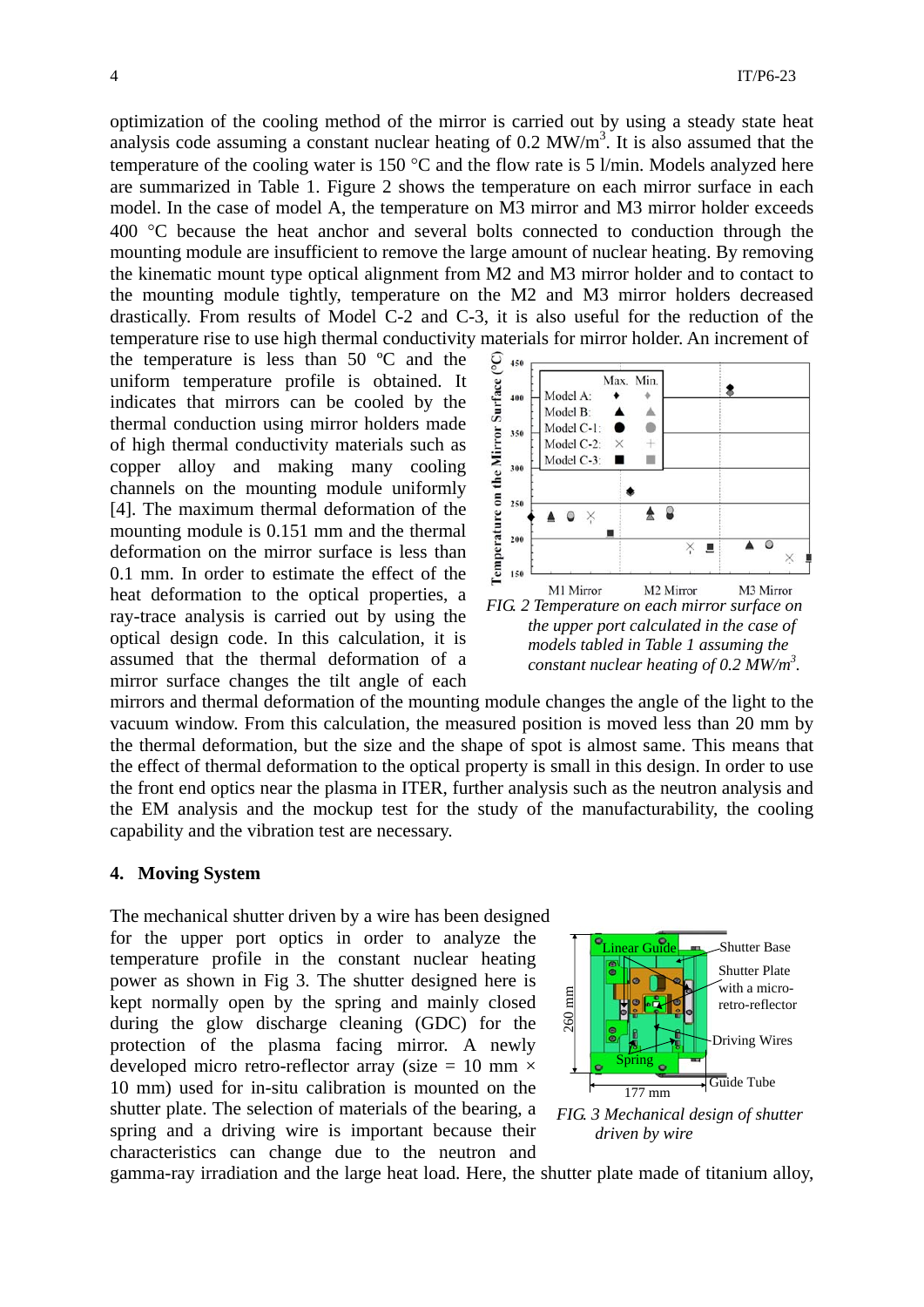optimization of the cooling method of the mirror is carried out by using a steady state heat analysis code assuming a constant nuclear heating of  $0.2$  MW/m<sup>3</sup>. It is also assumed that the temperature of the cooling water is 150 °C and the flow rate is 5 l/min. Models analyzed here are summarized in Table 1. Figure 2 shows the temperature on each mirror surface in each model. In the case of model A, the temperature on M3 mirror and M3 mirror holder exceeds 400 °C because the heat anchor and several bolts connected to conduction through the mounting module are insufficient to remove the large amount of nuclear heating. By removing the kinematic mount type optical alignment from M2 and M3 mirror holder and to contact to the mounting module tightly, temperature on the M2 and M3 mirror holders decreased drastically. From results of Model C-2 and C-3, it is also useful for the reduction of the temperature rise to use high thermal conductivity materials for mirror holder. An increment of

the temperature is less than 50 ºC and the uniform temperature profile is obtained. It indicates that mirrors can be cooled by the thermal conduction using mirror holders made of high thermal conductivity materials such as copper alloy and making many cooling channels on the mounting module uniformly [4]. The maximum thermal deformation of the mounting module is 0.151 mm and the thermal deformation on the mirror surface is less than 0.1 mm. In order to estimate the effect of the heat deformation to the optical properties, a ray-trace analysis is carried out by using the optical design code. In this calculation, it is assumed that the thermal deformation of a mirror surface changes the tilt angle of each



*FIG. 2 Temperature on each mirror surface on the upper port calculated in the case of models tabled in Table 1 assuming the constant nuclear heating of 0.2 MW/m3 .* 

mirrors and thermal deformation of the mounting module changes the angle of the light to the vacuum window. From this calculation, the measured position is moved less than 20 mm by the thermal deformation, but the size and the shape of spot is almost same. This means that the effect of thermal deformation to the optical property is small in this design. In order to use the front end optics near the plasma in ITER, further analysis such as the neutron analysis and the EM analysis and the mockup test for the study of the manufacturability, the cooling capability and the vibration test are necessary.

#### **4. Moving System**

The mechanical shutter driven by a wire has been designed for the upper port optics in order to analyze the temperature profile in the constant nuclear heating power as shown in Fig 3. The shutter designed here is kept normally open by the spring and mainly closed during the glow discharge cleaning (GDC) for the protection of the plasma facing mirror. A newly developed micro retro-reflector array (size = 10 mm  $\times$ 10 mm) used for in-situ calibration is mounted on the shutter plate. The selection of materials of the bearing, a spring and a driving wire is important because their characteristics can change due to the neutron and



gamma-ray irradiation and the large heat load. Here, the shutter plate made of titanium alloy,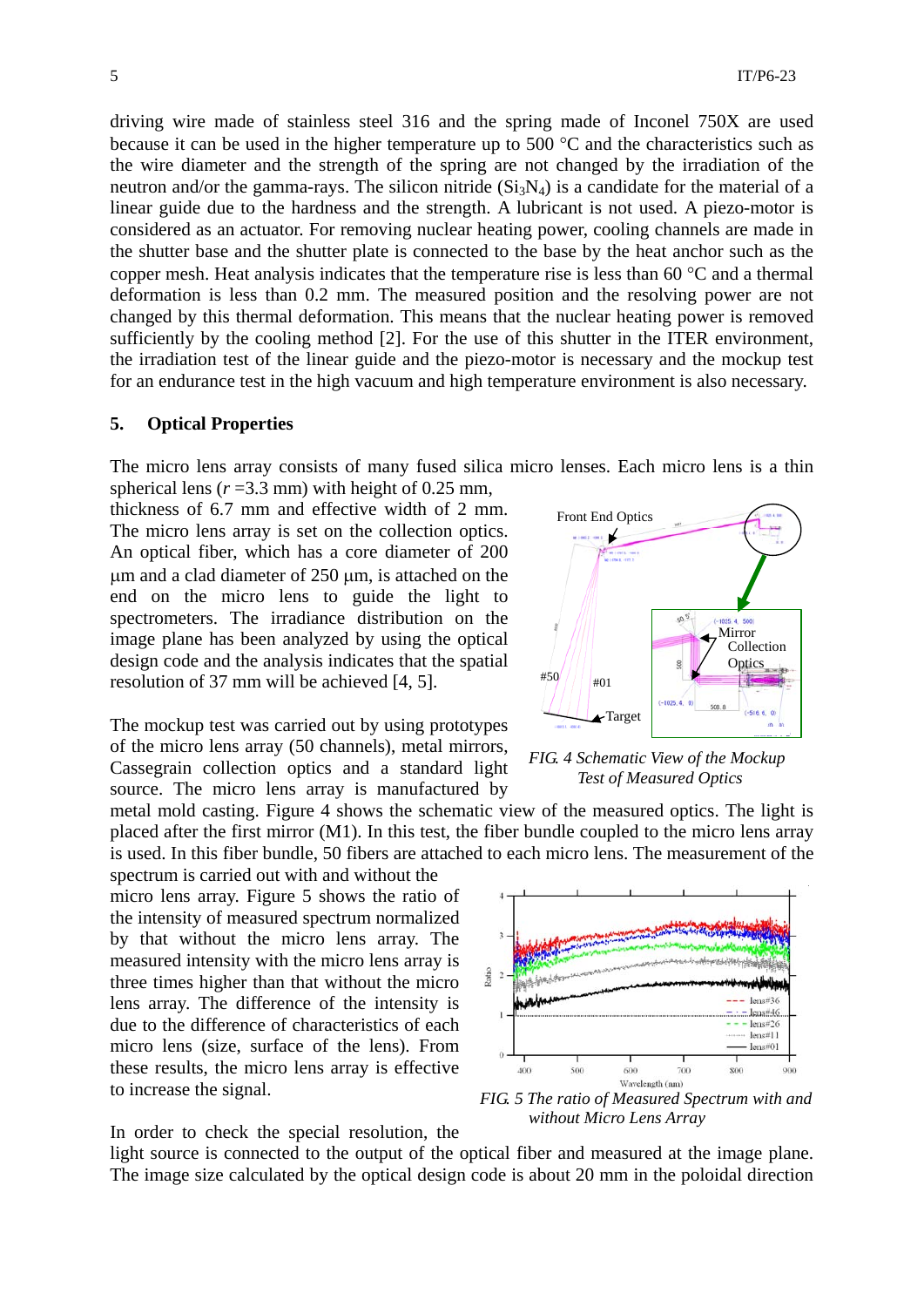driving wire made of stainless steel 316 and the spring made of Inconel 750X are used because it can be used in the higher temperature up to 500 °C and the characteristics such as the wire diameter and the strength of the spring are not changed by the irradiation of the neutron and/or the gamma-rays. The silicon nitride  $(Si<sub>3</sub>N<sub>4</sub>)$  is a candidate for the material of a linear guide due to the hardness and the strength. A lubricant is not used. A piezo-motor is considered as an actuator. For removing nuclear heating power, cooling channels are made in the shutter base and the shutter plate is connected to the base by the heat anchor such as the copper mesh. Heat analysis indicates that the temperature rise is less than 60 °C and a thermal deformation is less than 0.2 mm. The measured position and the resolving power are not changed by this thermal deformation. This means that the nuclear heating power is removed sufficiently by the cooling method [2]. For the use of this shutter in the ITER environment, the irradiation test of the linear guide and the piezo-motor is necessary and the mockup test for an endurance test in the high vacuum and high temperature environment is also necessary.

## **5. Optical Properties**

The micro lens array consists of many fused silica micro lenses. Each micro lens is a thin

spherical lens  $(r=3.3 \text{ mm})$  with height of 0.25 mm, thickness of 6.7 mm and effective width of 2 mm. The micro lens array is set on the collection optics. An optical fiber, which has a core diameter of 200 μm and a clad diameter of 250 μm, is attached on the end on the micro lens to guide the light to spectrometers. The irradiance distribution on the image plane has been analyzed by using the optical design code and the analysis indicates that the spatial resolution of 37 mm will be achieved [4, 5].

The mockup test was carried out by using prototypes of the micro lens array (50 channels), metal mirrors, Cassegrain collection optics and a standard light source. The micro lens array is manufactured by

metal mold casting. Figure 4 shows the schematic view of the measured optics. The light is placed after the first mirror (M1). In this test, the fiber bundle coupled to the micro lens array is used. In this fiber bundle, 50 fibers are attached to each micro lens. The measurement of the

spectrum is carried out with and without the micro lens array. Figure 5 shows the ratio of the intensity of measured spectrum normalized by that without the micro lens array. The measured intensity with the micro lens array is three times higher than that without the micro lens array. The difference of the intensity is due to the difference of characteristics of each micro lens (size, surface of the lens). From these results, the micro lens array is effective to increase the signal.

In order to check the special resolution, the light source is connected to the output of the optical fiber and measured at the image plane. The image size calculated by the optical design code is about 20 mm in the poloidal direction



*FIG. 4 Schematic View of the Mockup Test of Measured Optics* 



*FIG. 5 The ratio of Measured Spectrum with and without Micro Lens Array*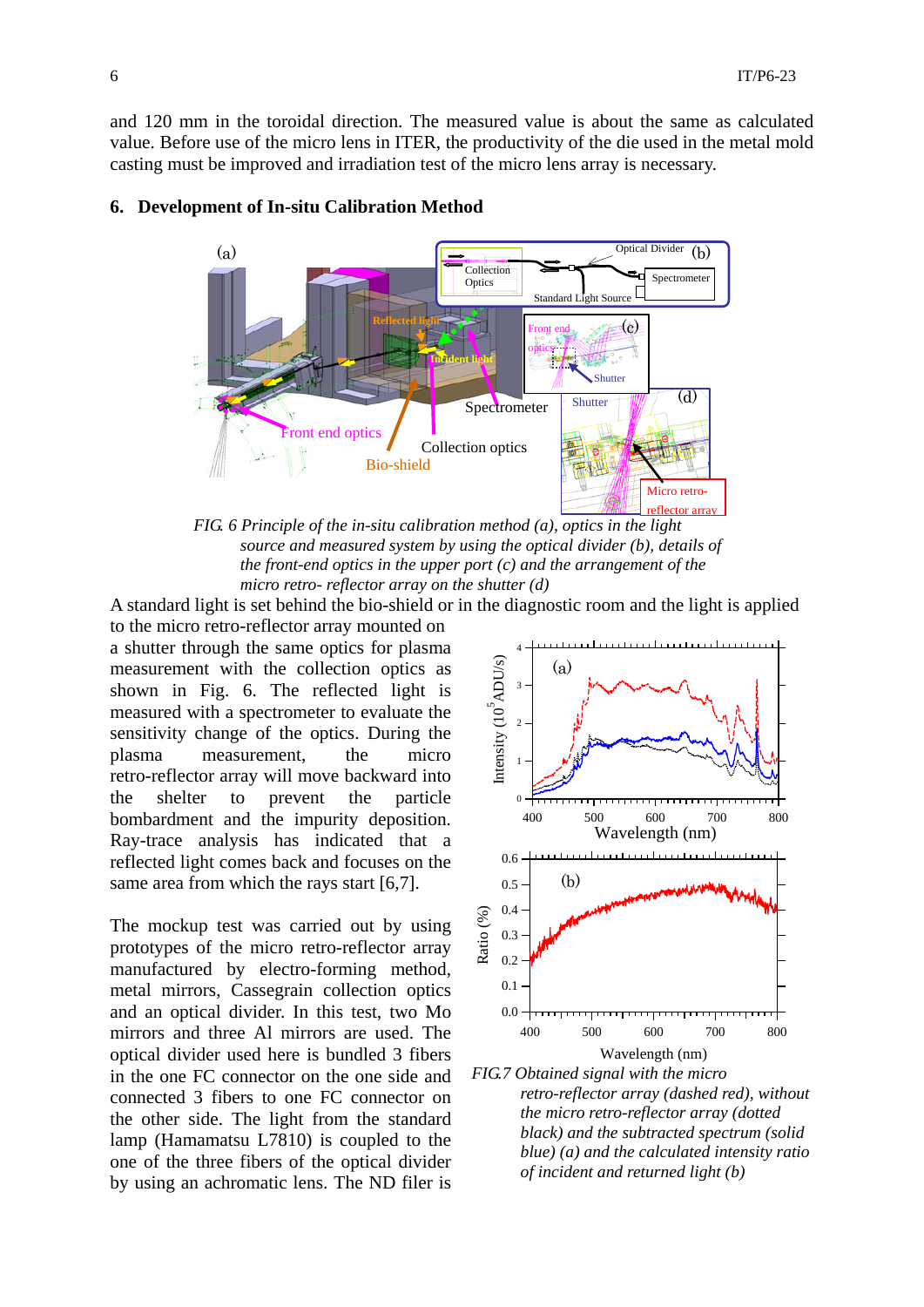and 120 mm in the toroidal direction. The measured value is about the same as calculated value. Before use of the micro lens in ITER, the productivity of the die used in the metal mold casting must be improved and irradiation test of the micro lens array is necessary.



## **6. Development of In-situ Calibration Method**

*FIG. 6 Principle of the in-situ calibration method (a), optics in the light source and measured system by using the optical divider (b), details of the front-end optics in the upper port (c) and the arrangement of the micro retro- reflector array on the shutter (d)* 

A standard light is set behind the bio-shield or in the diagnostic room and the light is applied

to the micro retro-reflector array mounted on a shutter through the same optics for plasma measurement with the collection optics as shown in Fig. 6. The reflected light is measured with a spectrometer to evaluate the sensitivity change of the optics. During the plasma measurement, the micro retro-reflector array will move backward into the shelter to prevent the particle bombardment and the impurity deposition. Ray-trace analysis has indicated that a reflected light comes back and focuses on the same area from which the rays start [6,7].

The mockup test was carried out by using prototypes of the micro retro-reflector array manufactured by electro-forming method, metal mirrors, Cassegrain collection optics and an optical divider. In this test, two Mo mirrors and three Al mirrors are used. The optical divider used here is bundled 3 fibers in the one FC connector on the one side and connected 3 fibers to one FC connector on the other side. The light from the standard lamp (Hamamatsu L7810) is coupled to the one of the three fibers of the optical divider by using an achromatic lens. The ND filer is



*FIG.7 Obtained signal with the micro retro-reflector array (dashed red), without the micro retro-reflector array (dotted black) and the subtracted spectrum (solid blue) (a) and the calculated intensity ratio of incident and returned light (b)*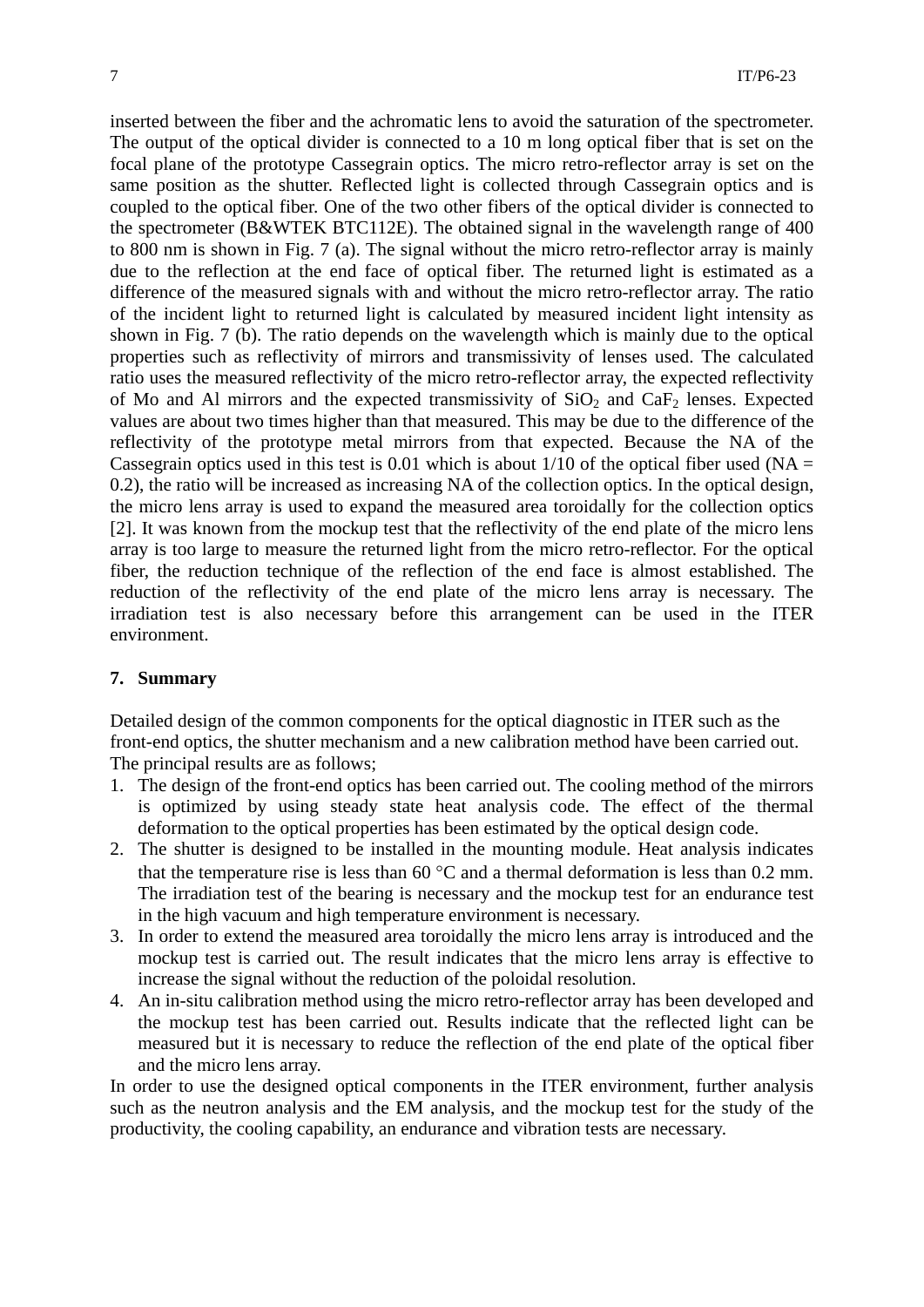inserted between the fiber and the achromatic lens to avoid the saturation of the spectrometer. The output of the optical divider is connected to a 10 m long optical fiber that is set on the focal plane of the prototype Cassegrain optics. The micro retro-reflector array is set on the same position as the shutter. Reflected light is collected through Cassegrain optics and is coupled to the optical fiber. One of the two other fibers of the optical divider is connected to the spectrometer (B&WTEK BTC112E). The obtained signal in the wavelength range of 400 to 800 nm is shown in Fig. 7 (a). The signal without the micro retro-reflector array is mainly due to the reflection at the end face of optical fiber. The returned light is estimated as a difference of the measured signals with and without the micro retro-reflector array. The ratio of the incident light to returned light is calculated by measured incident light intensity as shown in Fig. 7 (b). The ratio depends on the wavelength which is mainly due to the optical properties such as reflectivity of mirrors and transmissivity of lenses used. The calculated ratio uses the measured reflectivity of the micro retro-reflector array, the expected reflectivity of Mo and Al mirrors and the expected transmissivity of  $SiO<sub>2</sub>$  and  $CaF<sub>2</sub>$  lenses. Expected values are about two times higher than that measured. This may be due to the difference of the reflectivity of the prototype metal mirrors from that expected. Because the NA of the Cassegrain optics used in this test is 0.01 which is about  $1/10$  of the optical fiber used (NA = 0.2), the ratio will be increased as increasing NA of the collection optics. In the optical design, the micro lens array is used to expand the measured area toroidally for the collection optics [2]. It was known from the mockup test that the reflectivity of the end plate of the micro lens array is too large to measure the returned light from the micro retro-reflector. For the optical fiber, the reduction technique of the reflection of the end face is almost established. The reduction of the reflectivity of the end plate of the micro lens array is necessary. The irradiation test is also necessary before this arrangement can be used in the ITER environment.

#### **7. Summary**

Detailed design of the common components for the optical diagnostic in ITER such as the front-end optics, the shutter mechanism and a new calibration method have been carried out. The principal results are as follows;

- 1. The design of the front-end optics has been carried out. The cooling method of the mirrors is optimized by using steady state heat analysis code. The effect of the thermal deformation to the optical properties has been estimated by the optical design code.
- 2. The shutter is designed to be installed in the mounting module. Heat analysis indicates that the temperature rise is less than 60  $^{\circ}$ C and a thermal deformation is less than 0.2 mm. The irradiation test of the bearing is necessary and the mockup test for an endurance test in the high vacuum and high temperature environment is necessary.
- 3. In order to extend the measured area toroidally the micro lens array is introduced and the mockup test is carried out. The result indicates that the micro lens array is effective to increase the signal without the reduction of the poloidal resolution.
- 4. An in-situ calibration method using the micro retro-reflector array has been developed and the mockup test has been carried out. Results indicate that the reflected light can be measured but it is necessary to reduce the reflection of the end plate of the optical fiber and the micro lens array.

In order to use the designed optical components in the ITER environment, further analysis such as the neutron analysis and the EM analysis, and the mockup test for the study of the productivity, the cooling capability, an endurance and vibration tests are necessary.